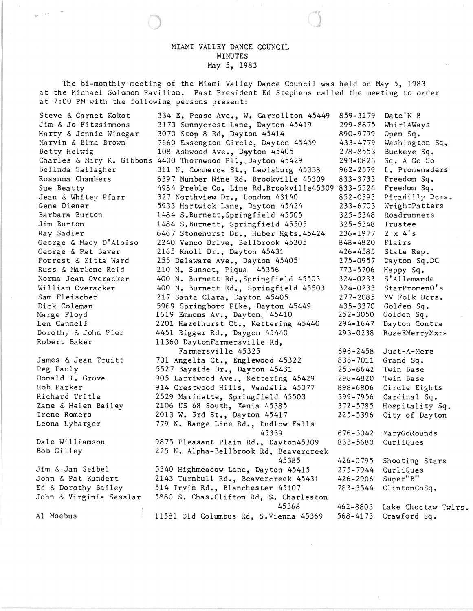## MIAMI VALLEY DANCE COUNCIL MINUTES May 5, 1983

The bi-monthly meeting of the Miami Valley Dance Council was held on May 5, 1983 at the Michael Solomon Pavilion. Past President Ed Stephens called the meeting to order at 7:00 PM with the following persons present:

| Steve & Garnet Kokot      | 334 E. Pease Ave., W. Carrollton 45449           | 859-3179     | Date'N 8                  |
|---------------------------|--------------------------------------------------|--------------|---------------------------|
| Jim & Jo Fitzsimmons      | 3173 Sunnycrest Lane, Dayton 45419               | 299-8875     | WhirlAWays                |
| Harry & Jennie Winegar    | 3070 Stop 8 Rd, Dayton 45414                     | 890-9799     | Open Sq.                  |
| Marvin & Elma Brown       | 7660 Essengton Circle, Dayton 45459              | 433-4779     | Washington $Sq_{\bullet}$ |
| Betty Helwig              | 108 Ashwood Ave., Dayyton 45405                  | 278-8553     | Buckeye Sq.               |
| Charles & Mary K. Gibbons | 4400 Thornwood $PL_{\bullet}$ , Dayton 45429     | 293-0823     | Sq. A Go Go               |
| Belinda Gallagher         | 311 N. Commerce St., Lewisburg 45338             | $962 - 2579$ | L. Promenaders            |
| Rosanna Chambers          | 6397 Number Nine Rd. Brookville 45309            | 833-3733     | Freedom Sq.               |
| Sue Beatty                | 4984 Preble Co. Line Rd.Brookville45309 833-5524 |              | Freedom Sq.               |
| Jean & Whitey Pfarr       | 327 Northview Dr., London 43140                  | 852-0393     | Picadilly Ders.           |
| Gene Diener               | 5933 Hartwick Lane, Dayton 45424                 | 233-6703     | WrightPatters             |
| Barbara Burton            | 1484 S.Burnett, Springfield 45505                | 325–5348     | Roadrunners               |
| Jim Burton                | 1484 S.Burnett, Springfield 45505                | 325-5348     | Trustee                   |
| Ray Sadler                | 6467 Stonehurst Dr., Huber Hgts.45424            | 236-1977     | $2 \times 4's$            |
| George & Mady D'Aloiso    | 2240 Vemco Drive, Bellbrook 45305                | 848-4820     | Flairs                    |
| George & Pat Baver        | 2165 Knoll Dr., Dayton 45431                     | 426–4585     | State Rep.                |
| Forrest & Zitta Ward      | 255 Delaware Ave., Dayton 45405                  | 275-0957     | Dayton Sq.DC              |
| Russ & Marlene Reid       | 210 N. Sunset, Piqua 45356                       | 773-5706     | Happy Sq.                 |
| Norma Jean Overacker      | 400 N. Burnett Rd., Springfield 45503            | 324-0233     | S'Allemande               |
| William Overacker         | 400 N. Burnett Rd., Springfield 45503            | 324-0233     | StarPromenO's             |
| Sam Fleischer             | 217 Santa Clara, Dayton 45405                    | $277 - 2085$ | MV Folk Dcrs.             |
| Dick Coleman              | 5969 Springboro Pike, Dayton 45449               | 435-3370     | Golden Sq.                |
| Marge Floyd               | 1619 Emmoms Av., Dayton, 45410                   | $252 - 3050$ | Golden Sq.                |
| Len Cannell               | 2201 Hazelhurst Ct., Kettering 45440             | 294-1647     | Dayton Contra             |
| Dorothy & John Pier       | 4451 Bigger Rd., Daygon 45440                    | 293-0238     | RoseEMerryMxrs            |
| Robert Baker              | 11360 DaytonFarmersville Rd,                     |              |                           |
|                           | Farmersville 45325                               | 696-2458     | Just-A-Mere               |
| James & Jean Truitt       | 701 Angelia Ct., Englewood 45322                 | 836-7011     | Grand Sq.                 |
| Peg Pauly                 | 5527 Bayside Dr., Dayton 45431                   | 253-8642     | Twin Base                 |
| Donald I. Grove           | 905 Larriwood Ave., Kettering 45429              | $298 - 4820$ | Twin Base                 |
| Rob Parker                | 914 Crestwood Hills, Vandalia 45377              | 898-6806     | Circle Eights             |
| Richard Tritle            | 2529 Marinette, Springfield 45503                | 399-7956     | Cardinal Sq.              |
| Zane & Helen Bailey       | 2106 US 68 South, Xenia 45385                    | 372-5785     | Hospitality Sq.           |
| Irene Romero              | 2013 W. 3rd St., Dayton 45417                    | 225-5396     | City of Dayton            |
| Leona Lybarger            | 779 N. Range Line Rd., Ludlow Falls              |              |                           |
|                           | 45339                                            | $676 - 3042$ | MaryGoRounds              |
| Dale Williamson           | 9875 Pleasant Plain Rd., Dayton45309             | 833-5680     | CurliQues                 |
| Bob Gilley                | 225 N. Alpha-Bellbrook Rd, Beavercreek           |              |                           |
|                           | 45385                                            | 426-0795     | Shooting Stars            |
| Jim & Jan Seibel          | 5340 Highmeadow Lane, Dayton 45415               | 275-7944     | CurliQues                 |
| John & Pat Kundert        | 2143 Turnbull Rd., Beavercreek 45431             | 426-2906     | Super"B"                  |
| Ed & Dorothy Bailey       | 514 Irvin Rd., Blanchester 45107                 | 783–3544     | ClintonCoSq.              |
| John & Virginia Sesslar   | 5880 S. Chas. Clifton Rd, S. Charleston          |              |                           |
|                           | 45368                                            | 462-8803     | Lake Choctaw Twlrs.       |
| Al Moebus                 | 11581 Old Columbus Rd, S.Vienna 45369            | $568 - 4173$ | Crawford Sq.              |
|                           |                                                  |              |                           |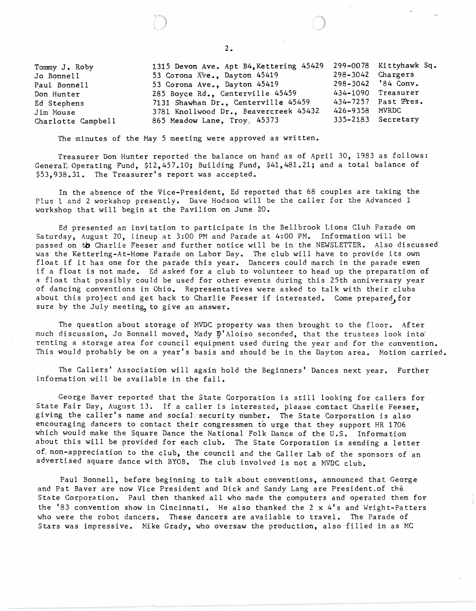Tommy J. Roby Jo Bonnell Paul Bonnell Don Hunter Ed Stephens Jim House Charlotte Campbell 1315 Devon Ave. Apt B4,Kettering 45429 53 Corona Ave., Dayton 45419 53 Corona Ave., Dayton 45419 285 Boyce Rd., Centerville 45459 7131 Shawhan Dr., Centerville 45459 3781 Kn01lwood Dr., Beavercreek 45432 865 Meadow Lane, Troy, 45373 299-0078 Ki ttyhawk Sq.  $298 - 3042$ 298-3042 '84 Conv. 434-1090 Treasurer 434-7257 Past Wees. 426-9358 MVRDC 335-2183 Secretary

The minutes of the Hay 5 meeting were approved as written.

Treasurer Don Hunter reported the balance on hand as of April 30, 1983 as follows: General<sup>\*</sup> Operating Fund, \$12,457.10; Building Fund, \$41,481.21; and a total balance of \$53,938.31. The Treasurer's report was accepted.

In the absence of the Vice-President, Ed reported that 68 couples are taking the Plus 1 and 2 workshop presently. Dave Hodson will be the caller for the Advanced I workshop that will begin at the Pavilion on June 20.

Ed presented an invitation to participate in the Bellbrook Lions Club Parade on Saturday, August 20, lineup at 3:00 PM and Parade at 4:00 PM. Information will be passed on tb Charlie Feeser and further notice will be in the NEWSLETTER. Also discussed was' the Kettering-At-Home Parade on Labor Day. The club will have to provide its own float if it has one for the parade this year. Dancers could march in the parade even if a float is not made. Ed asked for a club to volunteer to head up the preparation of a float that possibly could be used for other events during this 25th anniversary year of dancing conventions in Ohio. Representatives were asked to talk with their clubs about this project and get back to Charlie Feeser if interested. Come prepared. for sure by the July meeting to give an answer.

The question about storage of MVDC property was then brought to the floor. After much discussion, Jo Bonnell moved, Mady  $\bar{p}$ 'Aloiso seconded, that the trustees look intorenting a storage area for council equipment used during the year and for the convention. This would probably be on a year's basis and should be in the Dayton area. Motion carried.

The Callers' Association will again hold the Beginners' Dances next year. Further information will be available in the fall.

George Baver reported that the State Corporation is still looking for callers for State Fair Day, August 13. If a caller is interested, please contact Charlie Feeser, giving the caller's name and social security number. The State Corporation is also encouraging dancers to contact their congressmen to urge that they support HR 1706 which would make the Square Dance the National Folk Dance of the U.S. Information about this will be provided for each club. The State Corporation is sending a letter of, non-appreciation to the club, the council and the Caller Lab of the sponsors of an advertised square dance with BYOB. The club involved is not a HVDC club.

Paul Bonnell, before beginning to talk about conventions, announced that George and Pat Baver are now Vice President and Dick and Sandy Lang are President. of the. State Corporation. Paul then thanked all who made the computers and operated them for the '83 convention show in Cincinnati. He also thanked the  $2 \times 4$ 's and Wright-Patters who were the robot dancers. These dancers are available to travel. The Parade of Stars was impressive. Mike Grady, who oversaw the production, also filled in as MC